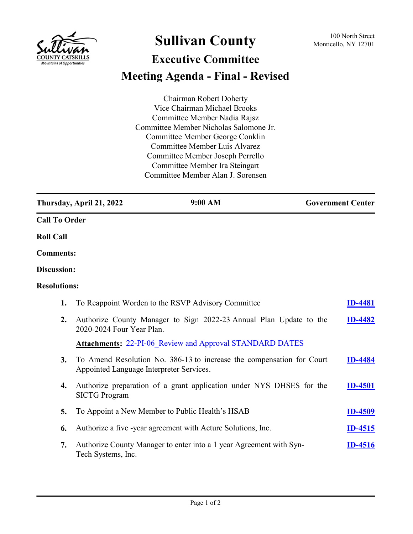

## **Sullivan County** 100 North Street 100 North Street

## **Executive Committee Meeting Agenda - Final - Revised**

Chairman Robert Doherty Vice Chairman Michael Brooks Committee Member Nadia Rajsz Committee Member Nicholas Salomone Jr. Committee Member George Conklin Committee Member Luis Alvarez Committee Member Joseph Perrello Committee Member Ira Steingart Committee Member Alan J. Sorensen

|                      | Thursday, April 21, 2022                 | 9:00 AM                                                               | <b>Government Center</b> |                |
|----------------------|------------------------------------------|-----------------------------------------------------------------------|--------------------------|----------------|
| <b>Call To Order</b> |                                          |                                                                       |                          |                |
| <b>Roll Call</b>     |                                          |                                                                       |                          |                |
| <b>Comments:</b>     |                                          |                                                                       |                          |                |
| Discussion:          |                                          |                                                                       |                          |                |
| <b>Resolutions:</b>  |                                          |                                                                       |                          |                |
| 1.                   |                                          | To Reappoint Worden to the RSVP Advisory Committee                    |                          | <b>ID-4481</b> |
| 2.                   | 2020-2024 Four Year Plan.                | Authorize County Manager to Sign 2022-23 Annual Plan Update to the    |                          | <b>ID-4482</b> |
|                      |                                          | <b>Attachments: 22-PI-06 Review and Approval STANDARD DATES</b>       |                          |                |
| 3.                   | Appointed Language Interpreter Services. | To Amend Resolution No. 386-13 to increase the compensation for Court |                          | <b>ID-4484</b> |
| 4.                   | <b>SICTG Program</b>                     | Authorize preparation of a grant application under NYS DHSES for the  |                          | <b>ID-4501</b> |
| 5.                   |                                          | To Appoint a New Member to Public Health's HSAB                       |                          | <b>ID-4509</b> |
| 6.                   |                                          | Authorize a five -year agreement with Acture Solutions, Inc.          |                          | <b>ID-4515</b> |
| 7.                   | Tech Systems, Inc.                       | Authorize County Manager to enter into a 1 year Agreement with Syn-   |                          | <b>ID-4516</b> |